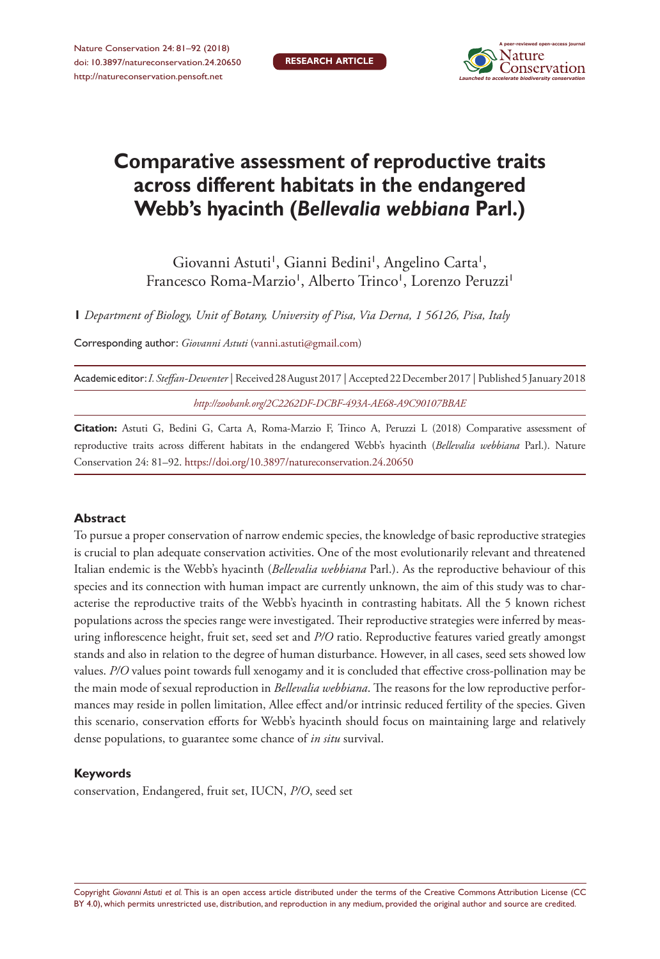Nature Conservation 24: 81–92 (2018) [doi: 10.3897/natureconservation.24.20650](https://doi.org/10.3897/natureconservation.24.20650) <http://natureconservation.pensoft.net>



# **Comparative assessment of reproductive traits across different habitats in the endangered Webb's hyacinth (***Bellevalia webbiana* **Parl.)**

Giovanni Astuti<sup>1</sup>, Gianni Bedini<sup>1</sup>, Angelino Carta<sup>1</sup>, Francesco Roma-Marzio<sup>1</sup>, Alberto Trinco<sup>1</sup>, Lorenzo Peruzzi<sup>1</sup>

**1** *Department of Biology, Unit of Botany, University of Pisa, Via Derna, 1 56126, Pisa, Italy*

Corresponding author: *Giovanni Astuti* [\(vanni.astuti@gmail.com](mailto:vanni.astuti@gmail.com))

| Academic editor: <i>I. Steffan-Dewenter</i>   Received 28 August 2017   Accepted 22 December 2017   Published 5 January 2018 |  |
|------------------------------------------------------------------------------------------------------------------------------|--|
| http://zoobank.org/2C2262DF-DCBF-493A-AE68-A9C90107BBAE                                                                      |  |

**Citation:** Astuti G, Bedini G, Carta A, Roma-Marzio F, Trinco A, Peruzzi L (2018) Comparative assessment of reproductive traits across different habitats in the endangered Webb's hyacinth (*Bellevalia webbiana* Parl.). Nature Conservation 24: 81–92. <https://doi.org/10.3897/natureconservation.24.20650>

### **Abstract**

To pursue a proper conservation of narrow endemic species, the knowledge of basic reproductive strategies is crucial to plan adequate conservation activities. One of the most evolutionarily relevant and threatened Italian endemic is the Webb's hyacinth (*Bellevalia webbiana* Parl.). As the reproductive behaviour of this species and its connection with human impact are currently unknown, the aim of this study was to characterise the reproductive traits of the Webb's hyacinth in contrasting habitats. All the 5 known richest populations across the species range were investigated. Their reproductive strategies were inferred by measuring inflorescence height, fruit set, seed set and *P/O* ratio. Reproductive features varied greatly amongst stands and also in relation to the degree of human disturbance. However, in all cases, seed sets showed low values. *P/O* values point towards full xenogamy and it is concluded that effective cross-pollination may be the main mode of sexual reproduction in *Bellevalia webbiana*. The reasons for the low reproductive performances may reside in pollen limitation, Allee effect and/or intrinsic reduced fertility of the species. Given this scenario, conservation efforts for Webb's hyacinth should focus on maintaining large and relatively dense populations, to guarantee some chance of *in situ* survival.

### **Keywords**

conservation, Endangered, fruit set, IUCN, *P/O*, seed set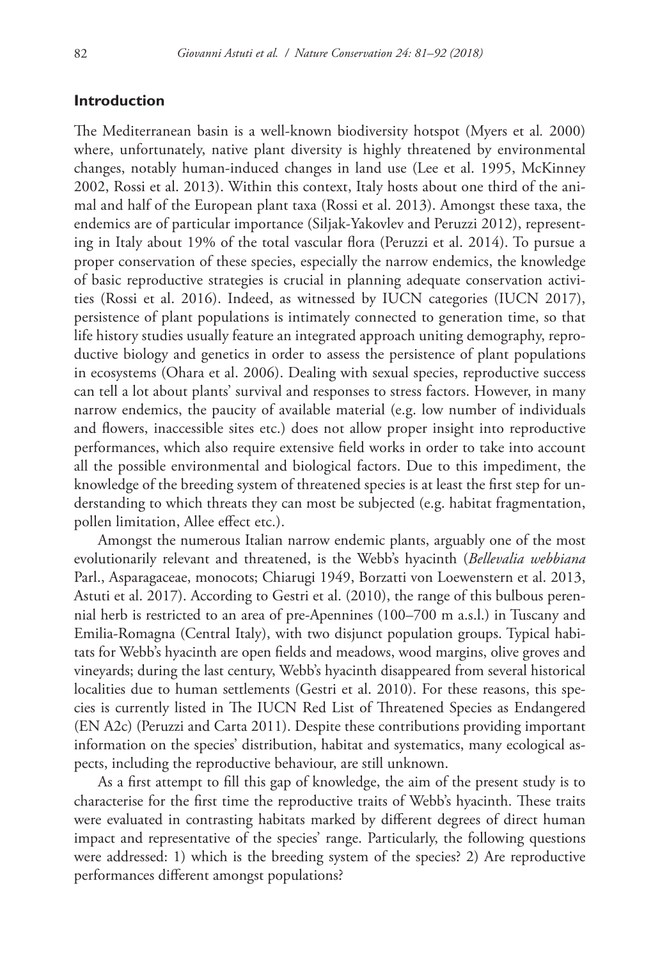## **Introduction**

The Mediterranean basin is a well-known biodiversity hotspot (Myers et al*.* 2000) where, unfortunately, native plant diversity is highly threatened by environmental changes, notably human-induced changes in land use (Lee et al. 1995, McKinney 2002, Rossi et al. 2013). Within this context, Italy hosts about one third of the animal and half of the European plant taxa (Rossi et al. 2013). Amongst these taxa, the endemics are of particular importance (Siljak-Yakovlev and Peruzzi 2012), representing in Italy about 19% of the total vascular flora (Peruzzi et al. 2014). To pursue a proper conservation of these species, especially the narrow endemics, the knowledge of basic reproductive strategies is crucial in planning adequate conservation activities (Rossi et al. 2016). Indeed, as witnessed by IUCN categories (IUCN 2017), persistence of plant populations is intimately connected to generation time, so that life history studies usually feature an integrated approach uniting demography, reproductive biology and genetics in order to assess the persistence of plant populations in ecosystems (Ohara et al. 2006). Dealing with sexual species, reproductive success can tell a lot about plants' survival and responses to stress factors. However, in many narrow endemics, the paucity of available material (e.g. low number of individuals and flowers, inaccessible sites etc.) does not allow proper insight into reproductive performances, which also require extensive field works in order to take into account all the possible environmental and biological factors. Due to this impediment, the knowledge of the breeding system of threatened species is at least the first step for understanding to which threats they can most be subjected (e.g. habitat fragmentation, pollen limitation, Allee effect etc.).

Amongst the numerous Italian narrow endemic plants, arguably one of the most evolutionarily relevant and threatened, is the Webb's hyacinth (*Bellevalia webbiana* Parl., Asparagaceae, monocots; Chiarugi 1949, Borzatti von Loewenstern et al. 2013, Astuti et al. 2017). According to Gestri et al. (2010), the range of this bulbous perennial herb is restricted to an area of pre-Apennines (100–700 m a.s.l.) in Tuscany and Emilia-Romagna (Central Italy), with two disjunct population groups. Typical habitats for Webb's hyacinth are open fields and meadows, wood margins, olive groves and vineyards; during the last century, Webb's hyacinth disappeared from several historical localities due to human settlements (Gestri et al. 2010). For these reasons, this species is currently listed in The IUCN Red List of Threatened Species as Endangered (EN A2c) (Peruzzi and Carta 2011). Despite these contributions providing important information on the species' distribution, habitat and systematics, many ecological aspects, including the reproductive behaviour, are still unknown.

As a first attempt to fill this gap of knowledge, the aim of the present study is to characterise for the first time the reproductive traits of Webb's hyacinth. These traits were evaluated in contrasting habitats marked by different degrees of direct human impact and representative of the species' range. Particularly, the following questions were addressed: 1) which is the breeding system of the species? 2) Are reproductive performances different amongst populations?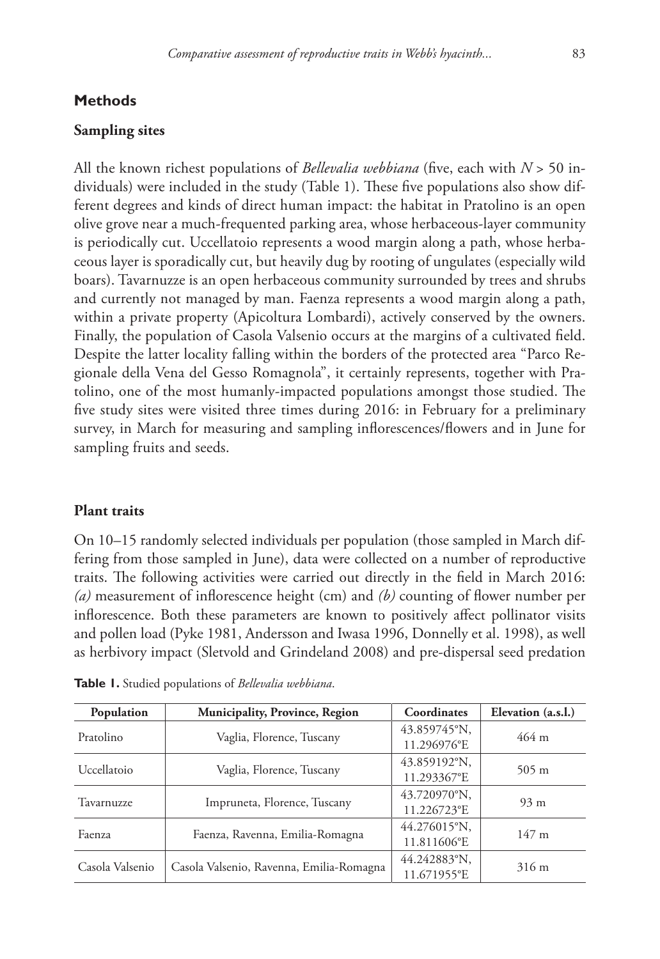## **Methods**

## **Sampling sites**

All the known richest populations of *Bellevalia webbiana* (five, each with *N* > 50 individuals) were included in the study (Table 1). These five populations also show different degrees and kinds of direct human impact: the habitat in Pratolino is an open olive grove near a much-frequented parking area, whose herbaceous-layer community is periodically cut. Uccellatoio represents a wood margin along a path, whose herbaceous layer is sporadically cut, but heavily dug by rooting of ungulates (especially wild boars). Tavarnuzze is an open herbaceous community surrounded by trees and shrubs and currently not managed by man. Faenza represents a wood margin along a path, within a private property (Apicoltura Lombardi), actively conserved by the owners. Finally, the population of Casola Valsenio occurs at the margins of a cultivated field. Despite the latter locality falling within the borders of the protected area "Parco Regionale della Vena del Gesso Romagnola", it certainly represents, together with Pratolino, one of the most humanly-impacted populations amongst those studied. The five study sites were visited three times during 2016: in February for a preliminary survey, in March for measuring and sampling inflorescences/flowers and in June for sampling fruits and seeds.

### **Plant traits**

On 10–15 randomly selected individuals per population (those sampled in March differing from those sampled in June), data were collected on a number of reproductive traits. The following activities were carried out directly in the field in March 2016: *(a)* measurement of inflorescence height (cm) and *(b)* counting of flower number per inflorescence. Both these parameters are known to positively affect pollinator visits and pollen load (Pyke 1981, Andersson and Iwasa 1996, Donnelly et al. 1998), as well as herbivory impact (Sletvold and Grindeland 2008) and pre-dispersal seed predation

| Population      | <b>Municipality, Province, Region</b>    | Coordinates  | Elevation (a.s.l.)  |  |
|-----------------|------------------------------------------|--------------|---------------------|--|
| Pratolino       | Vaglia, Florence, Tuscany                | 43.859745°N, | $464 \; \mathrm{m}$ |  |
|                 |                                          | 11.296976°E  |                     |  |
| Uccellatoio     |                                          | 43.859192°N, | $505 \text{ m}$     |  |
|                 | Vaglia, Florence, Tuscany                | 11.293367°E  |                     |  |
| Tavarnuzze      | Impruneta, Florence, Tuscany             | 43.720970°N, | $93 \text{ m}$      |  |
|                 |                                          | 11.226723°E  |                     |  |
| Faenza          | Faenza, Ravenna, Emilia-Romagna          | 44.276015°N. | $147 \text{ m}$     |  |
|                 |                                          | 11.811606°E  |                     |  |
| Casola Valsenio |                                          | 44.242883°N. | $316 \text{ m}$     |  |
|                 | Casola Valsenio, Ravenna, Emilia-Romagna | 11.671955°E  |                     |  |

**Table 1.** Studied populations of *Bellevalia webbiana*.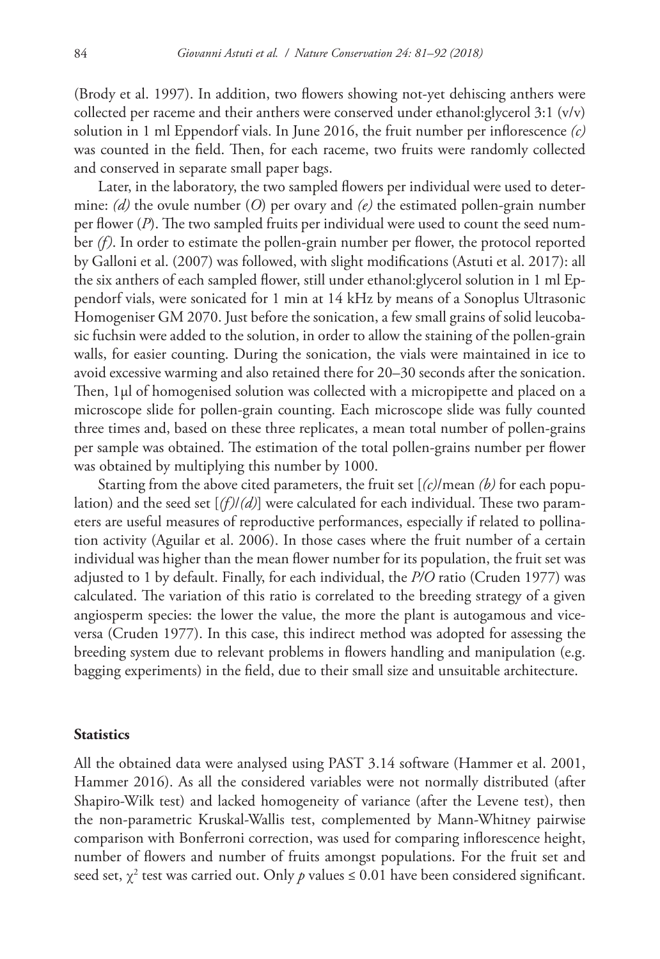(Brody et al. 1997). In addition, two flowers showing not-yet dehiscing anthers were collected per raceme and their anthers were conserved under ethanol:glycerol 3:1 (v/v) solution in 1 ml Eppendorf vials. In June 2016, the fruit number per inflorescence *(c)* was counted in the field. Then, for each raceme, two fruits were randomly collected and conserved in separate small paper bags.

Later, in the laboratory, the two sampled flowers per individual were used to determine: *(d)* the ovule number (*O*) per ovary and *(e)* the estimated pollen-grain number per flower (*P*). The two sampled fruits per individual were used to count the seed number *(f)*. In order to estimate the pollen-grain number per flower, the protocol reported by Galloni et al. (2007) was followed, with slight modifications (Astuti et al. 2017): all the six anthers of each sampled flower, still under ethanol:glycerol solution in 1 ml Eppendorf vials, were sonicated for 1 min at 14 kHz by means of a Sonoplus Ultrasonic Homogeniser GM 2070. Just before the sonication, a few small grains of solid leucobasic fuchsin were added to the solution, in order to allow the staining of the pollen-grain walls, for easier counting. During the sonication, the vials were maintained in ice to avoid excessive warming and also retained there for 20–30 seconds after the sonication. Then, 1µl of homogenised solution was collected with a micropipette and placed on a microscope slide for pollen-grain counting. Each microscope slide was fully counted three times and, based on these three replicates, a mean total number of pollen-grains per sample was obtained. The estimation of the total pollen-grains number per flower was obtained by multiplying this number by 1000.

Starting from the above cited parameters, the fruit set [*(c)*/mean *(b)* for each population) and the seed set [*(f)*/*(d)*] were calculated for each individual. These two parameters are useful measures of reproductive performances, especially if related to pollination activity (Aguilar et al. 2006). In those cases where the fruit number of a certain individual was higher than the mean flower number for its population, the fruit set was adjusted to 1 by default. Finally, for each individual, the *P/O* ratio (Cruden 1977) was calculated. The variation of this ratio is correlated to the breeding strategy of a given angiosperm species: the lower the value, the more the plant is autogamous and viceversa (Cruden 1977). In this case, this indirect method was adopted for assessing the breeding system due to relevant problems in flowers handling and manipulation (e.g. bagging experiments) in the field, due to their small size and unsuitable architecture.

#### **Statistics**

All the obtained data were analysed using PAST 3.14 software (Hammer et al. 2001, Hammer 2016). As all the considered variables were not normally distributed (after Shapiro-Wilk test) and lacked homogeneity of variance (after the Levene test), then the non-parametric Kruskal-Wallis test, complemented by Mann-Whitney pairwise comparison with Bonferroni correction, was used for comparing inflorescence height, number of flowers and number of fruits amongst populations. For the fruit set and seed set,  $\chi^2$  test was carried out. Only  $p$  values  $\leq 0.01$  have been considered significant.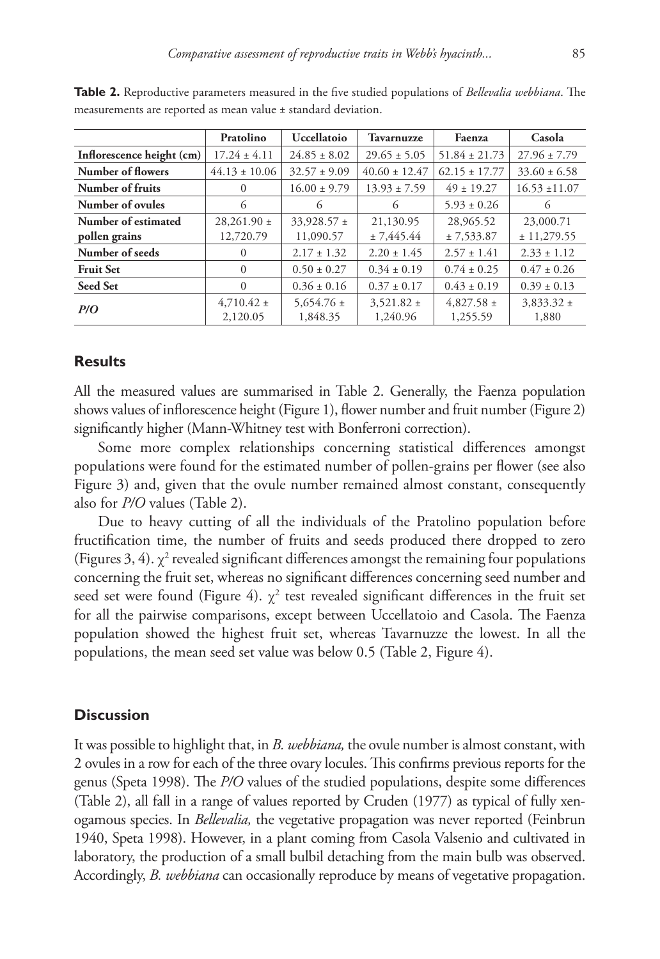|                           | Pratolino         | <b>Uccellatoio</b> | <b>Tavarnuzze</b> | Faenza            | Casola            |
|---------------------------|-------------------|--------------------|-------------------|-------------------|-------------------|
| Inflorescence height (cm) | $17.24 \pm 4.11$  | $24.85 \pm 8.02$   | $29.65 \pm 5.05$  | $51.84 \pm 21.73$ | $27.96 \pm 7.79$  |
| Number of flowers         | $44.13 \pm 10.06$ | $32.57 \pm 9.09$   | $40.60 \pm 12.47$ | $62.15 \pm 17.77$ | $33.60 \pm 6.58$  |
| Number of fruits          | $\Omega$          | $16.00 \pm 9.79$   | $13.93 \pm 7.59$  | $49 \pm 19.27$    | $16.53 \pm 11.07$ |
| Number of ovules          | 6                 | 6                  | 6                 | $5.93 \pm 0.26$   | 6                 |
| Number of estimated       | $28,261.90 \pm$   | $33,928.57 \pm$    | 21,130.95         | 28,965.52         | 23,000.71         |
| pollen grains             | 12,720.79         | 11,090.57          | ± 7,445.44        | ± 7,533.87        | ± 11,279.55       |
| Number of seeds           | $\Omega$          | $2.17 \pm 1.32$    | $2.20 \pm 1.45$   | $2.57 \pm 1.41$   | $2.33 \pm 1.12$   |
| <b>Fruit Set</b>          | $\Omega$          | $0.50 \pm 0.27$    | $0.34 \pm 0.19$   | $0.74 \pm 0.25$   | $0.47 \pm 0.26$   |
| <b>Seed Set</b>           | $\Omega$          | $0.36 \pm 0.16$    | $0.37 \pm 0.17$   | $0.43 \pm 0.19$   | $0.39 \pm 0.13$   |
| P/O                       | $4,710.42 \pm$    | $5,654.76 \pm$     | $3,521.82 \pm$    | $4.827.58 \pm$    | $3,833.32 \pm$    |
|                           | 2,120.05          | 1,848.35           | 1,240.96          | 1,255.59          | 1,880             |

**Table 2.** Reproductive parameters measured in the five studied populations of *Bellevalia webbiana*. The measurements are reported as mean value ± standard deviation.

## **Results**

All the measured values are summarised in Table 2. Generally, the Faenza population shows values of inflorescence height (Figure 1), flower number and fruit number (Figure 2) significantly higher (Mann-Whitney test with Bonferroni correction).

Some more complex relationships concerning statistical differences amongst populations were found for the estimated number of pollen-grains per flower (see also Figure 3) and, given that the ovule number remained almost constant, consequently also for *P/O* values (Table 2).

Due to heavy cutting of all the individuals of the Pratolino population before fructification time, the number of fruits and seeds produced there dropped to zero (Figures 3, 4).  $\chi^2$  revealed significant differences amongst the remaining four populations concerning the fruit set, whereas no significant differences concerning seed number and seed set were found (Figure 4).  $\chi^2$  test revealed significant differences in the fruit set for all the pairwise comparisons, except between Uccellatoio and Casola. The Faenza population showed the highest fruit set, whereas Tavarnuzze the lowest. In all the populations, the mean seed set value was below 0.5 (Table 2, Figure 4).

## **Discussion**

It was possible to highlight that, in *B. webbiana,* the ovule number is almost constant, with 2 ovules in a row for each of the three ovary locules. This confirms previous reports for the genus (Speta 1998). The *P/O* values of the studied populations, despite some differences (Table 2), all fall in a range of values reported by Cruden (1977) as typical of fully xenogamous species. In *Bellevalia,* the vegetative propagation was never reported (Feinbrun 1940, Speta 1998). However, in a plant coming from Casola Valsenio and cultivated in laboratory, the production of a small bulbil detaching from the main bulb was observed. Accordingly, *B. webbiana* can occasionally reproduce by means of vegetative propagation.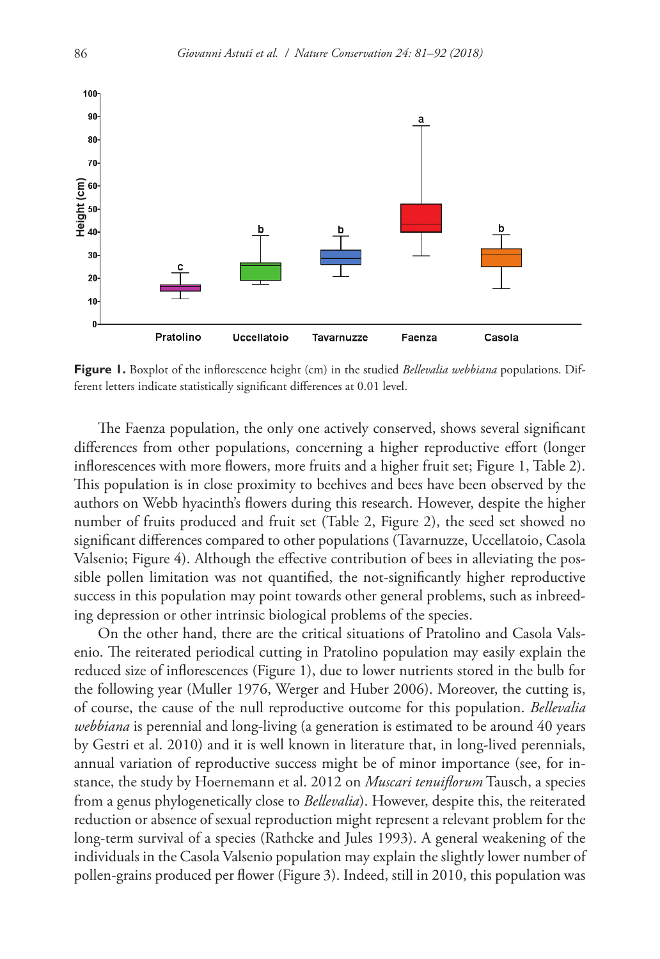

**Figure 1.** Boxplot of the inflorescence height (cm) in the studied *Bellevalia webbiana* populations. Different letters indicate statistically significant differences at 0.01 level.

The Faenza population, the only one actively conserved, shows several significant differences from other populations, concerning a higher reproductive effort (longer inflorescences with more flowers, more fruits and a higher fruit set; Figure 1, Table 2). This population is in close proximity to beehives and bees have been observed by the authors on Webb hyacinth's flowers during this research. However, despite the higher number of fruits produced and fruit set (Table 2, Figure 2), the seed set showed no significant differences compared to other populations (Tavarnuzze, Uccellatoio, Casola Valsenio; Figure 4). Although the effective contribution of bees in alleviating the possible pollen limitation was not quantified, the not-significantly higher reproductive success in this population may point towards other general problems, such as inbreeding depression or other intrinsic biological problems of the species.

On the other hand, there are the critical situations of Pratolino and Casola Valsenio. The reiterated periodical cutting in Pratolino population may easily explain the reduced size of inflorescences (Figure 1), due to lower nutrients stored in the bulb for the following year (Muller 1976, Werger and Huber 2006). Moreover, the cutting is, of course, the cause of the null reproductive outcome for this population. *Bellevalia webbiana* is perennial and long-living (a generation is estimated to be around 40 years by Gestri et al. 2010) and it is well known in literature that, in long-lived perennials, annual variation of reproductive success might be of minor importance (see, for instance, the study by Hoernemann et al. 2012 on *Muscari tenuiflorum* Tausch, a species from a genus phylogenetically close to *Bellevalia*). However, despite this, the reiterated reduction or absence of sexual reproduction might represent a relevant problem for the long-term survival of a species (Rathcke and Jules 1993). A general weakening of the individuals in the Casola Valsenio population may explain the slightly lower number of pollen-grains produced per flower (Figure 3). Indeed, still in 2010, this population was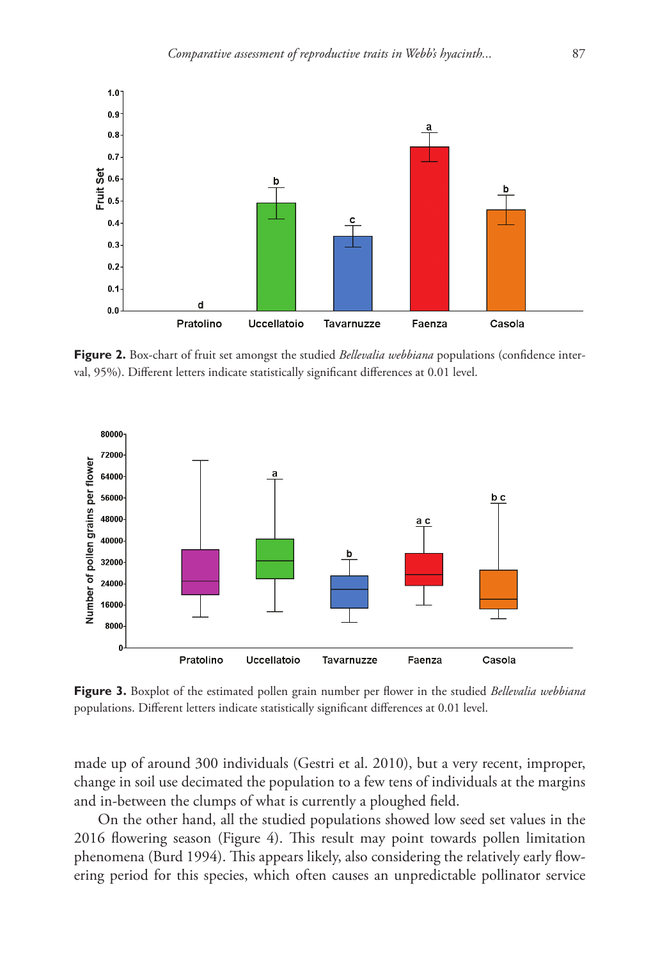

**Figure 2.** Box-chart of fruit set amongst the studied *Bellevalia webbiana* populations (confidence interval, 95%). Different letters indicate statistically significant differences at 0.01 level.



**Figure 3.** Boxplot of the estimated pollen grain number per flower in the studied *Bellevalia webbiana* populations. Different letters indicate statistically significant differences at 0.01 level.

made up of around 300 individuals (Gestri et al. 2010), but a very recent, improper, change in soil use decimated the population to a few tens of individuals at the margins and in-between the clumps of what is currently a ploughed field.

On the other hand, all the studied populations showed low seed set values in the 2016 flowering season (Figure 4). This result may point towards pollen limitation phenomena (Burd 1994). This appears likely, also considering the relatively early flowering period for this species, which often causes an unpredictable pollinator service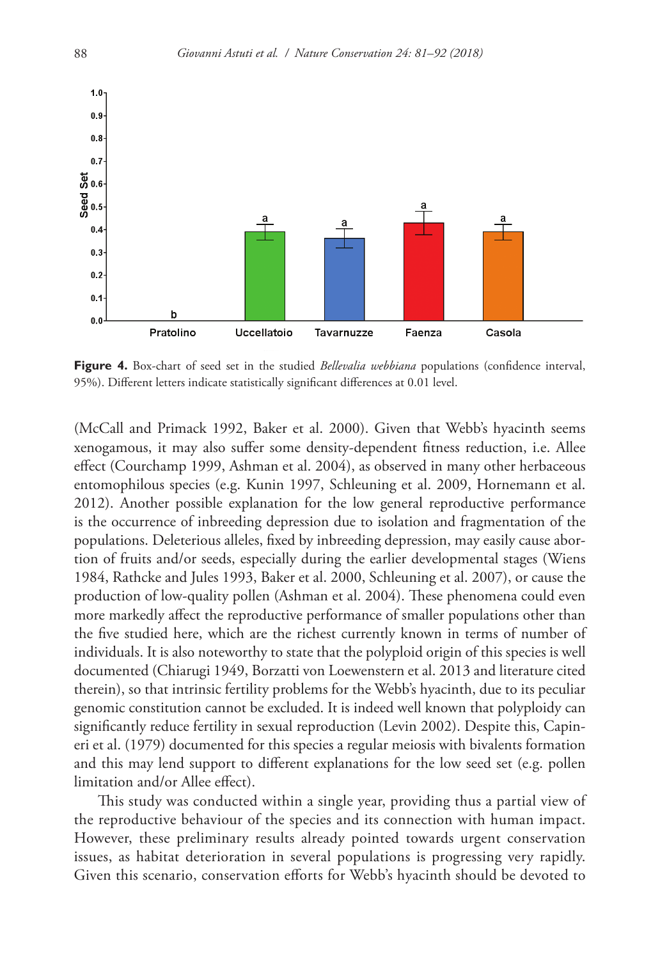

**Figure 4.** Box-chart of seed set in the studied *Bellevalia webbiana* populations (confidence interval, 95%). Different letters indicate statistically significant differences at 0.01 level.

(McCall and Primack 1992, Baker et al. 2000). Given that Webb's hyacinth seems xenogamous, it may also suffer some density-dependent fitness reduction, i.e. Allee effect (Courchamp 1999, Ashman et al. 2004), as observed in many other herbaceous entomophilous species (e.g. Kunin 1997, Schleuning et al. 2009, Hornemann et al. 2012). Another possible explanation for the low general reproductive performance is the occurrence of inbreeding depression due to isolation and fragmentation of the populations. Deleterious alleles, fixed by inbreeding depression, may easily cause abortion of fruits and/or seeds, especially during the earlier developmental stages (Wiens 1984, Rathcke and Jules 1993, Baker et al. 2000, Schleuning et al. 2007), or cause the production of low-quality pollen (Ashman et al. 2004). These phenomena could even more markedly affect the reproductive performance of smaller populations other than the five studied here, which are the richest currently known in terms of number of individuals. It is also noteworthy to state that the polyploid origin of this species is well documented (Chiarugi 1949, Borzatti von Loewenstern et al. 2013 and literature cited therein), so that intrinsic fertility problems for the Webb's hyacinth, due to its peculiar genomic constitution cannot be excluded. It is indeed well known that polyploidy can significantly reduce fertility in sexual reproduction (Levin 2002). Despite this, Capineri et al. (1979) documented for this species a regular meiosis with bivalents formation and this may lend support to different explanations for the low seed set (e.g. pollen limitation and/or Allee effect).

This study was conducted within a single year, providing thus a partial view of the reproductive behaviour of the species and its connection with human impact. However, these preliminary results already pointed towards urgent conservation issues, as habitat deterioration in several populations is progressing very rapidly. Given this scenario, conservation efforts for Webb's hyacinth should be devoted to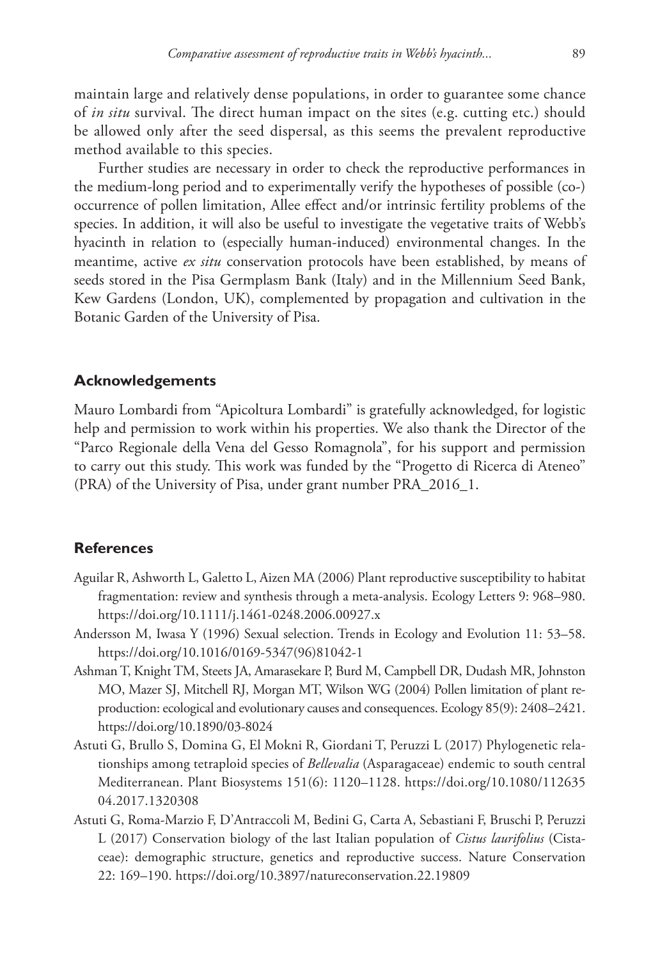maintain large and relatively dense populations, in order to guarantee some chance of *in situ* survival. The direct human impact on the sites (e.g. cutting etc.) should be allowed only after the seed dispersal, as this seems the prevalent reproductive method available to this species.

Further studies are necessary in order to check the reproductive performances in the medium-long period and to experimentally verify the hypotheses of possible (co-) occurrence of pollen limitation, Allee effect and/or intrinsic fertility problems of the species. In addition, it will also be useful to investigate the vegetative traits of Webb's hyacinth in relation to (especially human-induced) environmental changes. In the meantime, active *ex situ* conservation protocols have been established, by means of seeds stored in the Pisa Germplasm Bank (Italy) and in the Millennium Seed Bank, Kew Gardens (London, UK), complemented by propagation and cultivation in the Botanic Garden of the University of Pisa.

## **Acknowledgements**

Mauro Lombardi from "Apicoltura Lombardi" is gratefully acknowledged, for logistic help and permission to work within his properties. We also thank the Director of the "Parco Regionale della Vena del Gesso Romagnola", for his support and permission to carry out this study. This work was funded by the "Progetto di Ricerca di Ateneo" (PRA) of the University of Pisa, under grant number PRA\_2016\_1.

### **References**

- Aguilar R, Ashworth L, Galetto L, Aizen MA (2006) Plant reproductive susceptibility to habitat fragmentation: review and synthesis through a meta-analysis. Ecology Letters 9: 968–980. <https://doi.org/10.1111/j.1461-0248.2006.00927.x>
- Andersson M, Iwasa Y (1996) Sexual selection. Trends in Ecology and Evolution 11: 53–58. [https://doi.org/10.1016/0169-5347\(96\)81042-1](https://doi.org/10.1016/0169-5347(96)81042-1)
- Ashman T, Knight TM, Steets JA, Amarasekare P, Burd M, Campbell DR, Dudash MR, Johnston MO, Mazer SJ, Mitchell RJ, Morgan MT, Wilson WG (2004) Pollen limitation of plant reproduction: ecological and evolutionary causes and consequences. Ecology 85(9): 2408–2421. <https://doi.org/10.1890/03-8024>
- Astuti G, Brullo S, Domina G, El Mokni R, Giordani T, Peruzzi L (2017) Phylogenetic relationships among tetraploid species of *Bellevalia* (Asparagaceae) endemic to south central Mediterranean. Plant Biosystems 151(6): 1120–1128. [https://doi.org/10.1080/112635](https://doi.org/10.1080/11263504.2017.1320308) [04.2017.1320308](https://doi.org/10.1080/11263504.2017.1320308)
- Astuti G, Roma-Marzio F, D'Antraccoli M, Bedini G, Carta A, Sebastiani F, Bruschi P, Peruzzi L (2017) Conservation biology of the last Italian population of *Cistus laurifolius* (Cistaceae): demographic structure, genetics and reproductive success. Nature Conservation 22: 169–190.<https://doi.org/10.3897/natureconservation.22.19809>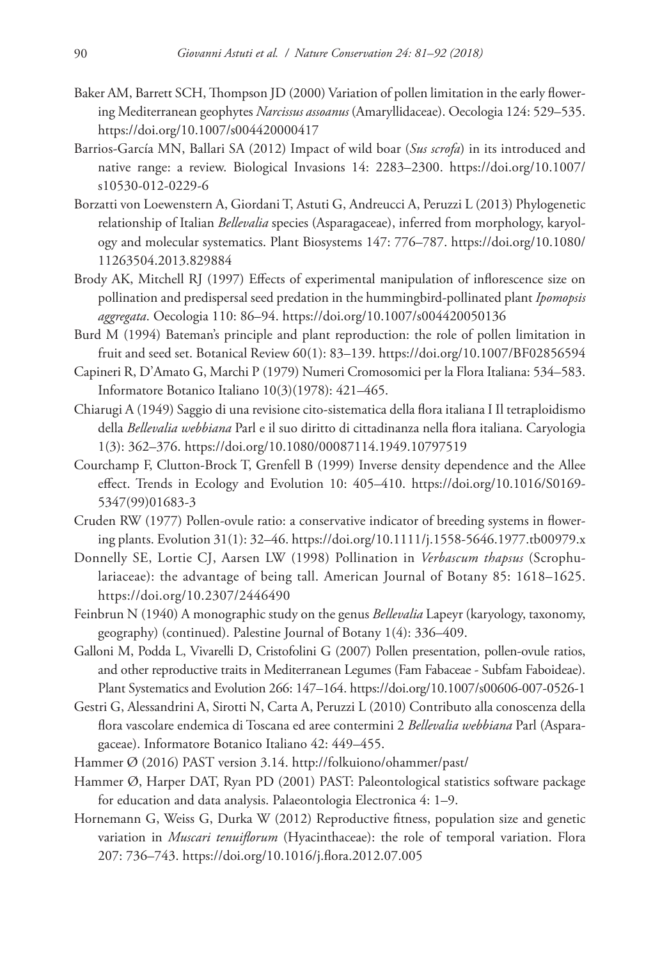- Baker AM, Barrett SCH, Thompson JD (2000) Variation of pollen limitation in the early flowering Mediterranean geophytes *Narcissus assoanus* (Amaryllidaceae). Oecologia 124: 529–535. <https://doi.org/10.1007/s004420000417>
- Barrios-García MN, Ballari SA (2012) Impact of wild boar (*Sus scrofa*) in its introduced and native range: a review. Biological Invasions 14: 2283–2300. [https://doi.org/10.1007/](https://doi.org/10.1007/s10530-012-0229-6) [s10530-012-0229-6](https://doi.org/10.1007/s10530-012-0229-6)
- Borzatti von Loewenstern A, Giordani T, Astuti G, Andreucci A, Peruzzi L (2013) Phylogenetic relationship of Italian *Bellevalia* species (Asparagaceae), inferred from morphology, karyology and molecular systematics. Plant Biosystems 147: 776–787. [https://doi.org/10.1080/](https://doi.org/10.1080/11263504.2013.829884) [11263504.2013.829884](https://doi.org/10.1080/11263504.2013.829884)
- Brody AK, Mitchell RJ (1997) Effects of experimental manipulation of inflorescence size on pollination and predispersal seed predation in the hummingbird-pollinated plant *Ipomopsis aggregata*. Oecologia 110: 86–94.<https://doi.org/10.1007/s004420050136>
- Burd M (1994) Bateman's principle and plant reproduction: the role of pollen limitation in fruit and seed set. Botanical Review 60(1): 83–139. <https://doi.org/10.1007/BF02856594>
- Capineri R, D'Amato G, Marchi P (1979) Numeri Cromosomici per la Flora Italiana: 534–583. Informatore Botanico Italiano 10(3)(1978): 421–465.
- Chiarugi A (1949) Saggio di una revisione cito-sistematica della flora italiana I Il tetraploidismo della *Bellevalia webbiana* Parl e il suo diritto di cittadinanza nella flora italiana. Caryologia 1(3): 362–376. <https://doi.org/10.1080/00087114.1949.10797519>
- Courchamp F, Clutton-Brock T, Grenfell B (1999) Inverse density dependence and the Allee effect. Trends in Ecology and Evolution 10: 405–410. [https://doi.org/10.1016/S0169-](https://doi.org/10.1016/S0169-5347(99)01683-3) [5347\(99\)01683-3](https://doi.org/10.1016/S0169-5347(99)01683-3)
- Cruden RW (1977) Pollen-ovule ratio: a conservative indicator of breeding systems in flowering plants. Evolution 31(1): 32–46.<https://doi.org/10.1111/j.1558-5646.1977.tb00979.x>
- Donnelly SE, Lortie CJ, Aarsen LW (1998) Pollination in *Verbascum thapsus* (Scrophulariaceae): the advantage of being tall. American Journal of Botany 85: 1618–1625. <https://doi.org/10.2307/2446490>
- Feinbrun N (1940) A monographic study on the genus *Bellevalia* Lapeyr (karyology, taxonomy, geography) (continued). Palestine Journal of Botany 1(4): 336–409.
- Galloni M, Podda L, Vivarelli D, Cristofolini G (2007) Pollen presentation, pollen-ovule ratios, and other reproductive traits in Mediterranean Legumes (Fam Fabaceae - Subfam Faboideae). Plant Systematics and Evolution 266: 147–164.<https://doi.org/10.1007/s00606-007-0526-1>
- Gestri G, Alessandrini A, Sirotti N, Carta A, Peruzzi L (2010) Contributo alla conoscenza della flora vascolare endemica di Toscana ed aree contermini 2 *Bellevalia webbiana* Parl (Asparagaceae). Informatore Botanico Italiano 42: 449–455.
- Hammer Ø (2016) PAST version 3.14.<http://folkuiono/ohammer/past/>
- Hammer Ø, Harper DAT, Ryan PD (2001) PAST: Paleontological statistics software package for education and data analysis. Palaeontologia Electronica 4: 1–9.
- Hornemann G, Weiss G, Durka W (2012) Reproductive fitness, population size and genetic variation in *Muscari tenuiflorum* (Hyacinthaceae): the role of temporal variation. Flora 207: 736–743.<https://doi.org/10.1016/j.flora.2012.07.005>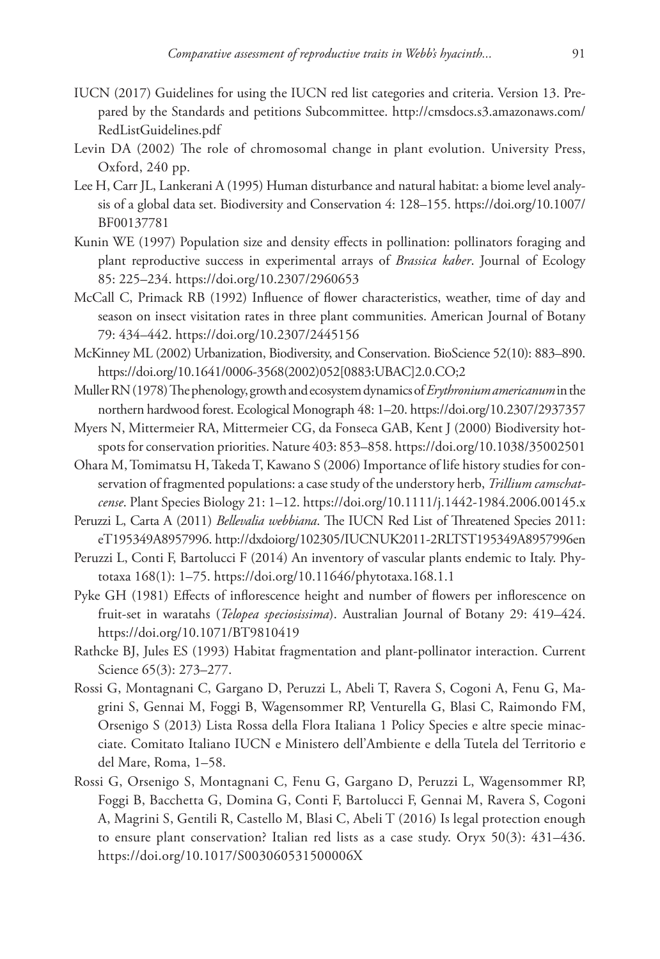- IUCN (2017) Guidelines for using the IUCN red list categories and criteria. Version 13. Prepared by the Standards and petitions Subcommittee. [http://cmsdocs.s3.amazonaws.com/](http://cmsdocs.s3.amazonaws.com/RedListGuidelines.pdf) [RedListGuidelines.pdf](http://cmsdocs.s3.amazonaws.com/RedListGuidelines.pdf)
- Levin DA (2002) The role of chromosomal change in plant evolution. University Press, Oxford, 240 pp.
- Lee H, Carr JL, Lankerani A (1995) Human disturbance and natural habitat: a biome level analysis of a global data set. Biodiversity and Conservation 4: 128–155. [https://doi.org/10.1007/](https://doi.org/10.1007/BF00137781) [BF00137781](https://doi.org/10.1007/BF00137781)
- Kunin WE (1997) Population size and density effects in pollination: pollinators foraging and plant reproductive success in experimental arrays of *Brassica kaber*. Journal of Ecology 85: 225–234.<https://doi.org/10.2307/2960653>
- McCall C, Primack RB (1992) Influence of flower characteristics, weather, time of day and season on insect visitation rates in three plant communities. American Journal of Botany 79: 434–442.<https://doi.org/10.2307/2445156>
- McKinney ML (2002) Urbanization, Biodiversity, and Conservation. BioScience 52(10): 883–890. [https://doi.org/10.1641/0006-3568\(2002\)052\[0883:UBAC\]2.0.CO;2](https://doi.org/10.1641/0006-3568(2002)052%5B0883:UBAC%5D2.0.CO;2)
- Muller RN (1978) The phenology, growth and ecosystem dynamics of *Erythronium americanum* in the northern hardwood forest. Ecological Monograph 48: 1–20.<https://doi.org/10.2307/2937357>
- Myers N, Mittermeier RA, Mittermeier CG, da Fonseca GAB, Kent J (2000) Biodiversity hotspots for conservation priorities. Nature 403: 853–858.<https://doi.org/10.1038/35002501>
- Ohara M, Tomimatsu H, Takeda T, Kawano S (2006) Importance of life history studies for conservation of fragmented populations: a case study of the understory herb, *Trillium camschatcense*. Plant Species Biology 21: 1–12.<https://doi.org/10.1111/j.1442-1984.2006.00145.x>
- Peruzzi L, Carta A (2011) *Bellevalia webbiana*. The IUCN Red List of Threatened Species 2011: eT195349A8957996.<http://dxdoiorg/102305/IUCNUK2011-2RLTST195349A8957996en>
- Peruzzi L, Conti F, Bartolucci F (2014) An inventory of vascular plants endemic to Italy. Phytotaxa 168(1): 1–75. <https://doi.org/10.11646/phytotaxa.168.1.1>
- Pyke GH (1981) Effects of inflorescence height and number of flowers per inflorescence on fruit-set in waratahs (*Telopea speciosissima*). Australian Journal of Botany 29: 419–424. <https://doi.org/10.1071/BT9810419>
- Rathcke BJ, Jules ES (1993) Habitat fragmentation and plant-pollinator interaction. Current Science 65(3): 273–277.
- Rossi G, Montagnani C, Gargano D, Peruzzi L, Abeli T, Ravera S, Cogoni A, Fenu G, Magrini S, Gennai M, Foggi B, Wagensommer RP, Venturella G, Blasi C, Raimondo FM, Orsenigo S (2013) Lista Rossa della Flora Italiana 1 Policy Species e altre specie minacciate. Comitato Italiano IUCN e Ministero dell'Ambiente e della Tutela del Territorio e del Mare, Roma, 1–58.
- Rossi G, Orsenigo S, Montagnani C, Fenu G, Gargano D, Peruzzi L, Wagensommer RP, Foggi B, Bacchetta G, Domina G, Conti F, Bartolucci F, Gennai M, Ravera S, Cogoni A, Magrini S, Gentili R, Castello M, Blasi C, Abeli T (2016) Is legal protection enough to ensure plant conservation? Italian red lists as a case study. Oryx 50(3): 431–436. <https://doi.org/10.1017/S003060531500006X>